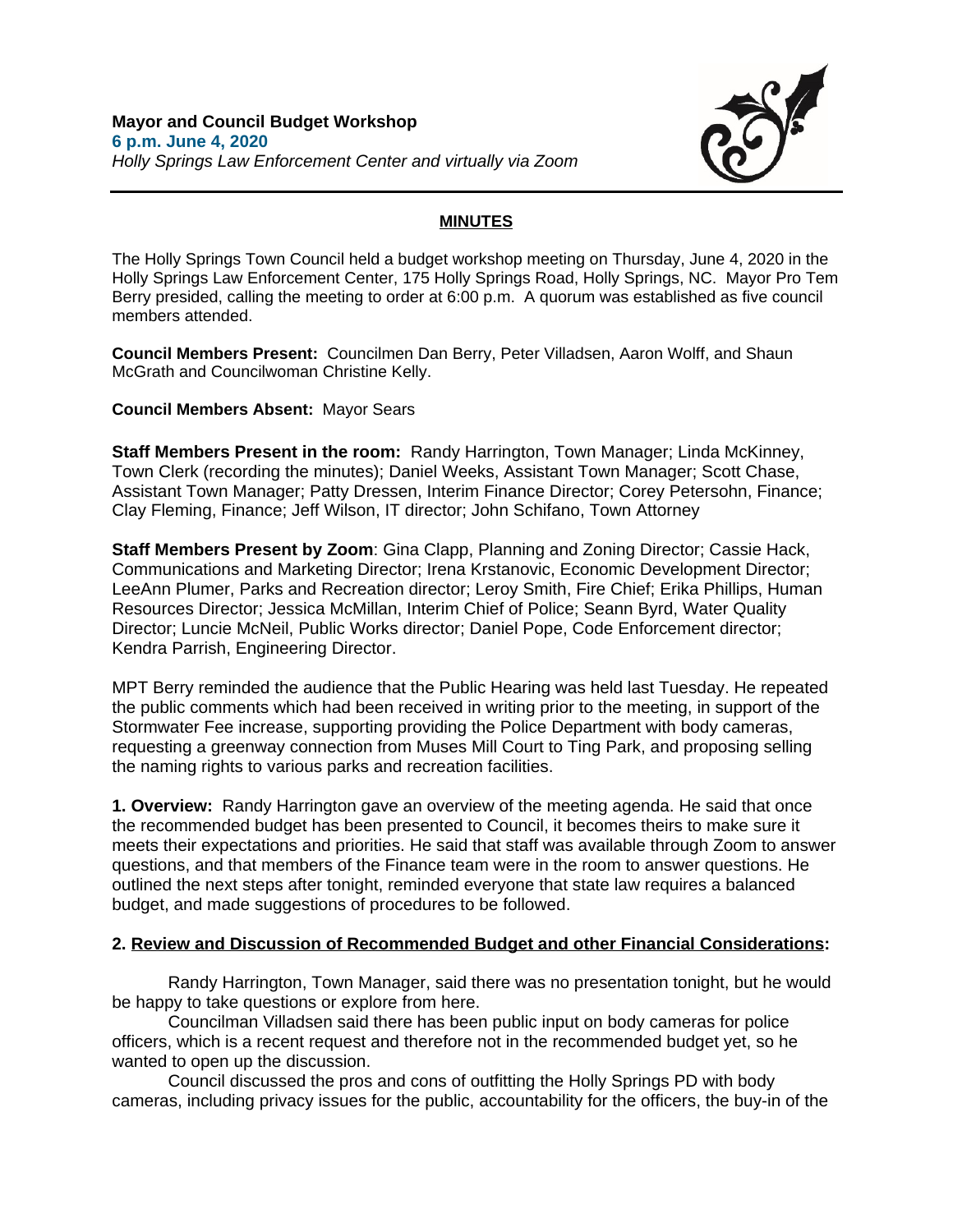

## **MINUTES**

The Holly Springs Town Council held a budget workshop meeting on Thursday, June 4, 2020 in the Holly Springs Law Enforcement Center, 175 Holly Springs Road, Holly Springs, NC. Mayor Pro Tem Berry presided, calling the meeting to order at 6:00 p.m. A quorum was established as five council members attended.

**Council Members Present:** Councilmen Dan Berry, Peter Villadsen, Aaron Wolff, and Shaun McGrath and Councilwoman Christine Kelly.

**Council Members Absent:** Mayor Sears

**Staff Members Present in the room:** Randy Harrington, Town Manager; Linda McKinney, Town Clerk (recording the minutes); Daniel Weeks, Assistant Town Manager; Scott Chase, Assistant Town Manager; Patty Dressen, Interim Finance Director; Corey Petersohn, Finance; Clay Fleming, Finance; Jeff Wilson, IT director; John Schifano, Town Attorney

**Staff Members Present by Zoom**: Gina Clapp, Planning and Zoning Director; Cassie Hack, Communications and Marketing Director; Irena Krstanovic, Economic Development Director; LeeAnn Plumer, Parks and Recreation director; Leroy Smith, Fire Chief; Erika Phillips, Human Resources Director; Jessica McMillan, Interim Chief of Police; Seann Byrd, Water Quality Director; Luncie McNeil, Public Works director; Daniel Pope, Code Enforcement director; Kendra Parrish, Engineering Director.

MPT Berry reminded the audience that the Public Hearing was held last Tuesday. He repeated the public comments which had been received in writing prior to the meeting, in support of the Stormwater Fee increase, supporting providing the Police Department with body cameras, requesting a greenway connection from Muses Mill Court to Ting Park, and proposing selling the naming rights to various parks and recreation facilities.

**1. Overview:** Randy Harrington gave an overview of the meeting agenda. He said that once the recommended budget has been presented to Council, it becomes theirs to make sure it meets their expectations and priorities. He said that staff was available through Zoom to answer questions, and that members of the Finance team were in the room to answer questions. He outlined the next steps after tonight, reminded everyone that state law requires a balanced budget, and made suggestions of procedures to be followed.

## **2. Review and Discussion of Recommended Budget and other Financial Considerations:**

Randy Harrington, Town Manager, said there was no presentation tonight, but he would be happy to take questions or explore from here.

Councilman Villadsen said there has been public input on body cameras for police officers, which is a recent request and therefore not in the recommended budget yet, so he wanted to open up the discussion.

Council discussed the pros and cons of outfitting the Holly Springs PD with body cameras, including privacy issues for the public, accountability for the officers, the buy-in of the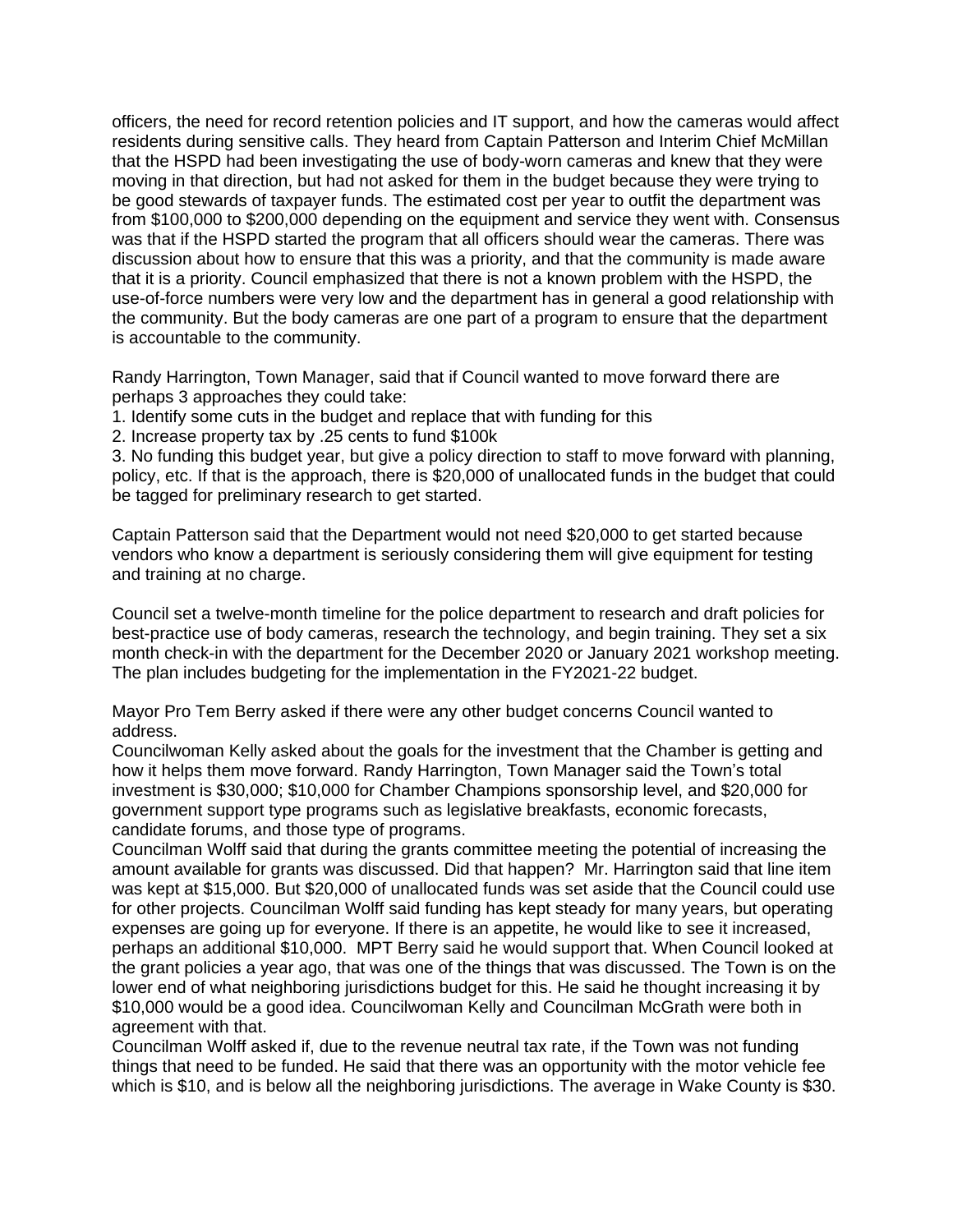officers, the need for record retention policies and IT support, and how the cameras would affect residents during sensitive calls. They heard from Captain Patterson and Interim Chief McMillan that the HSPD had been investigating the use of body-worn cameras and knew that they were moving in that direction, but had not asked for them in the budget because they were trying to be good stewards of taxpayer funds. The estimated cost per year to outfit the department was from \$100,000 to \$200,000 depending on the equipment and service they went with. Consensus was that if the HSPD started the program that all officers should wear the cameras. There was discussion about how to ensure that this was a priority, and that the community is made aware that it is a priority. Council emphasized that there is not a known problem with the HSPD, the use-of-force numbers were very low and the department has in general a good relationship with the community. But the body cameras are one part of a program to ensure that the department is accountable to the community.

Randy Harrington, Town Manager, said that if Council wanted to move forward there are perhaps 3 approaches they could take:

1. Identify some cuts in the budget and replace that with funding for this

2. Increase property tax by .25 cents to fund \$100k

3. No funding this budget year, but give a policy direction to staff to move forward with planning, policy, etc. If that is the approach, there is \$20,000 of unallocated funds in the budget that could be tagged for preliminary research to get started.

Captain Patterson said that the Department would not need \$20,000 to get started because vendors who know a department is seriously considering them will give equipment for testing and training at no charge.

Council set a twelve-month timeline for the police department to research and draft policies for best-practice use of body cameras, research the technology, and begin training. They set a six month check-in with the department for the December 2020 or January 2021 workshop meeting. The plan includes budgeting for the implementation in the FY2021-22 budget.

Mayor Pro Tem Berry asked if there were any other budget concerns Council wanted to address.

Councilwoman Kelly asked about the goals for the investment that the Chamber is getting and how it helps them move forward. Randy Harrington, Town Manager said the Town's total investment is \$30,000; \$10,000 for Chamber Champions sponsorship level, and \$20,000 for government support type programs such as legislative breakfasts, economic forecasts, candidate forums, and those type of programs.

Councilman Wolff said that during the grants committee meeting the potential of increasing the amount available for grants was discussed. Did that happen? Mr. Harrington said that line item was kept at \$15,000. But \$20,000 of unallocated funds was set aside that the Council could use for other projects. Councilman Wolff said funding has kept steady for many years, but operating expenses are going up for everyone. If there is an appetite, he would like to see it increased, perhaps an additional \$10,000. MPT Berry said he would support that. When Council looked at the grant policies a year ago, that was one of the things that was discussed. The Town is on the lower end of what neighboring jurisdictions budget for this. He said he thought increasing it by \$10,000 would be a good idea. Councilwoman Kelly and Councilman McGrath were both in agreement with that.

Councilman Wolff asked if, due to the revenue neutral tax rate, if the Town was not funding things that need to be funded. He said that there was an opportunity with the motor vehicle fee which is \$10, and is below all the neighboring jurisdictions. The average in Wake County is \$30.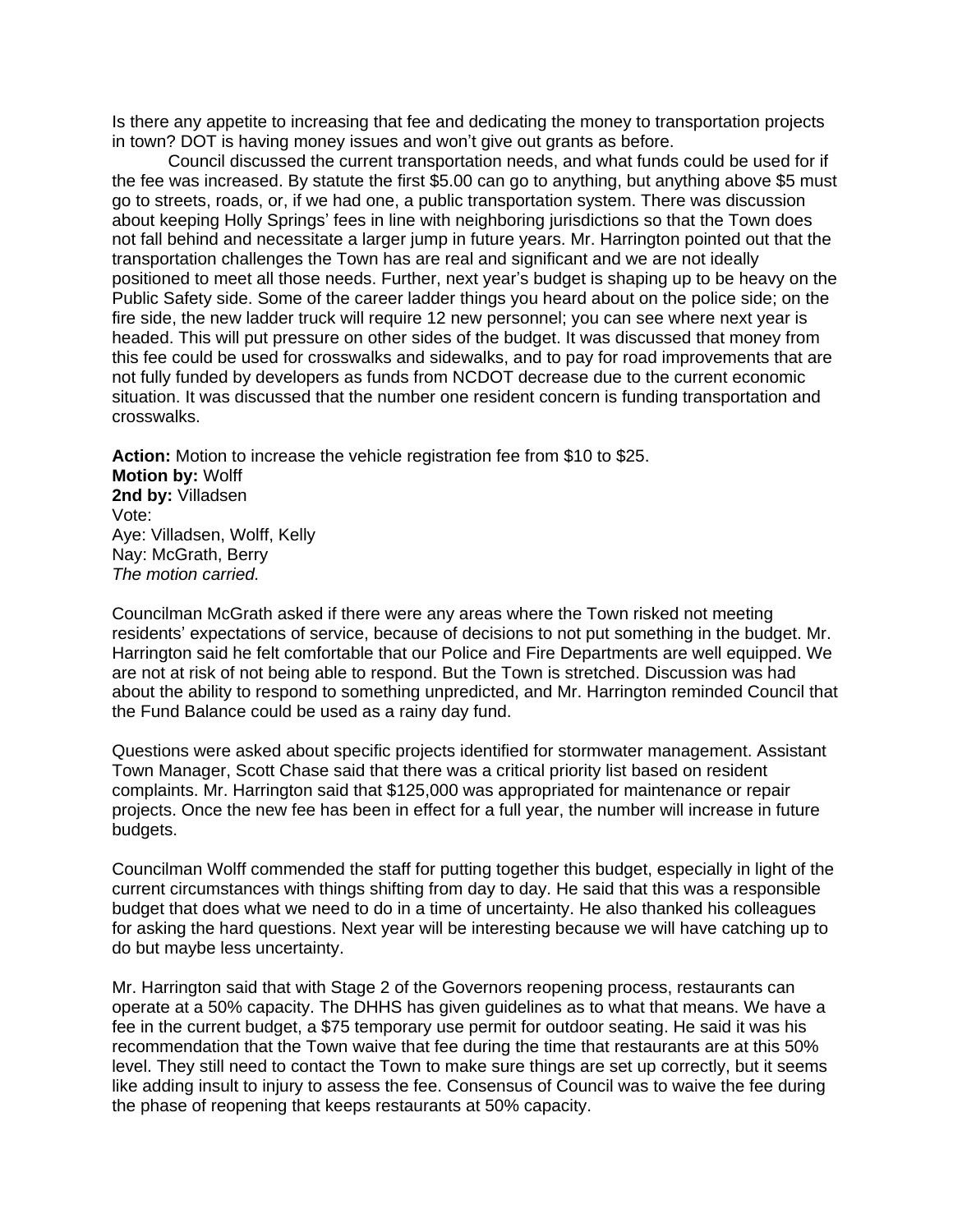Is there any appetite to increasing that fee and dedicating the money to transportation projects in town? DOT is having money issues and won't give out grants as before.

Council discussed the current transportation needs, and what funds could be used for if the fee was increased. By statute the first \$5.00 can go to anything, but anything above \$5 must go to streets, roads, or, if we had one, a public transportation system. There was discussion about keeping Holly Springs' fees in line with neighboring jurisdictions so that the Town does not fall behind and necessitate a larger jump in future years. Mr. Harrington pointed out that the transportation challenges the Town has are real and significant and we are not ideally positioned to meet all those needs. Further, next year's budget is shaping up to be heavy on the Public Safety side. Some of the career ladder things you heard about on the police side; on the fire side, the new ladder truck will require 12 new personnel; you can see where next year is headed. This will put pressure on other sides of the budget. It was discussed that money from this fee could be used for crosswalks and sidewalks, and to pay for road improvements that are not fully funded by developers as funds from NCDOT decrease due to the current economic situation. It was discussed that the number one resident concern is funding transportation and crosswalks.

**Action:** Motion to increase the vehicle registration fee from \$10 to \$25. **Motion by:** Wolff **2nd by:** Villadsen Vote: Aye: Villadsen, Wolff, Kelly Nay: McGrath, Berry *The motion carried.*

Councilman McGrath asked if there were any areas where the Town risked not meeting residents' expectations of service, because of decisions to not put something in the budget. Mr. Harrington said he felt comfortable that our Police and Fire Departments are well equipped. We are not at risk of not being able to respond. But the Town is stretched. Discussion was had about the ability to respond to something unpredicted, and Mr. Harrington reminded Council that the Fund Balance could be used as a rainy day fund.

Questions were asked about specific projects identified for stormwater management. Assistant Town Manager, Scott Chase said that there was a critical priority list based on resident complaints. Mr. Harrington said that \$125,000 was appropriated for maintenance or repair projects. Once the new fee has been in effect for a full year, the number will increase in future budgets.

Councilman Wolff commended the staff for putting together this budget, especially in light of the current circumstances with things shifting from day to day. He said that this was a responsible budget that does what we need to do in a time of uncertainty. He also thanked his colleagues for asking the hard questions. Next year will be interesting because we will have catching up to do but maybe less uncertainty.

Mr. Harrington said that with Stage 2 of the Governors reopening process, restaurants can operate at a 50% capacity. The DHHS has given guidelines as to what that means. We have a fee in the current budget, a \$75 temporary use permit for outdoor seating. He said it was his recommendation that the Town waive that fee during the time that restaurants are at this 50% level. They still need to contact the Town to make sure things are set up correctly, but it seems like adding insult to injury to assess the fee. Consensus of Council was to waive the fee during the phase of reopening that keeps restaurants at 50% capacity.